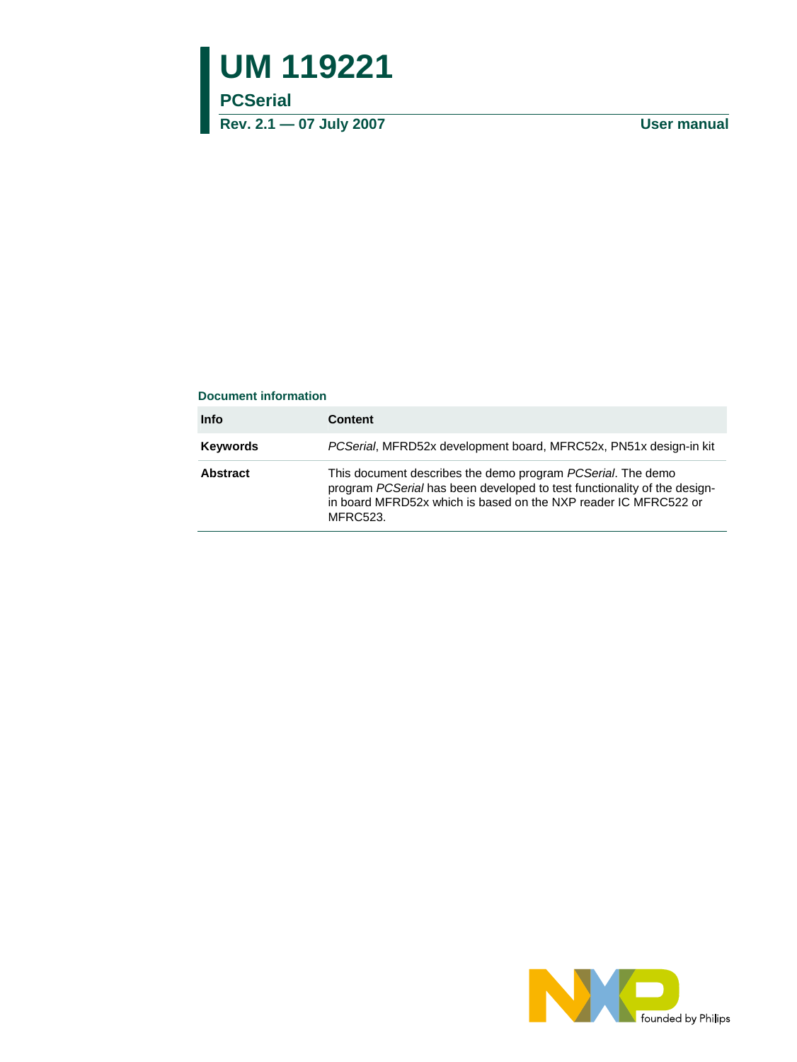# **UM 119221**

## **PCSerial**

**Rev. 2.1 — 07 July 2007 User manual**

#### **Document information**

| <b>Info</b>     | <b>Content</b>                                                                                                                                                                                                         |
|-----------------|------------------------------------------------------------------------------------------------------------------------------------------------------------------------------------------------------------------------|
| <b>Keywords</b> | PCSerial, MFRD52x development board, MFRC52x, PN51x design-in kit                                                                                                                                                      |
| <b>Abstract</b> | This document describes the demo program PCSerial. The demo<br>program PCSerial has been developed to test functionality of the design-<br>in board MFRD52x which is based on the NXP reader IC MFRC522 or<br>MFRC523. |

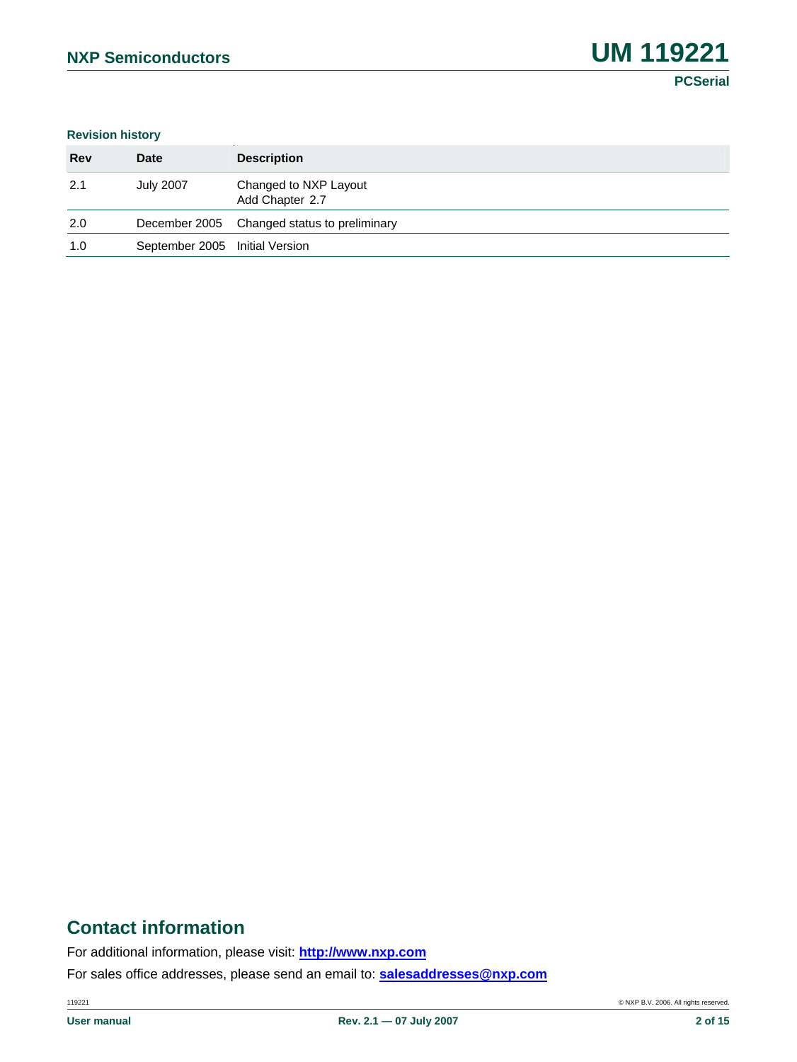**PCSerial**

#### **Revision history**

| <b>Rev</b> | <b>Date</b>                    | <b>Description</b>                          |
|------------|--------------------------------|---------------------------------------------|
| 2.1        | <b>July 2007</b>               | Changed to NXP Layout<br>Add Chapter 2.7    |
| 2.0        |                                | December 2005 Changed status to preliminary |
| 1.0        | September 2005 Initial Version |                                             |

# **Contact information**

For additional information, please visit: **http://www.nxp.com**

For sales office addresses, please send an email to: **salesaddresses@nxp.com**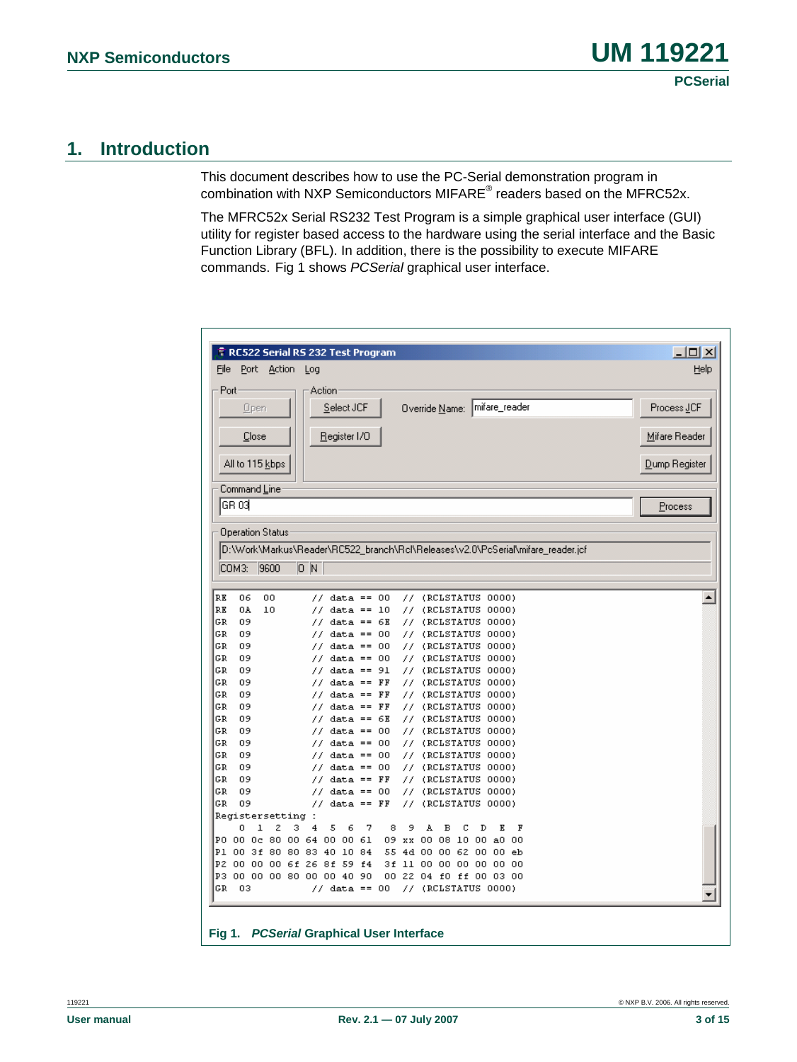## **1. Introduction**

This document describes how to use the PC-Serial demonstration program in combination with NXP Semiconductors MIFARE<sup>®</sup> readers based on the MFRC52x.

The MFRC52x Serial RS232 Test Program is a simple graphical user interface (GUI) utility for register based access to the hardware using the serial interface and the Basic Function Library (BFL). In addition, there is the possibility to execute MIFARE commands. [Fig 1](#page-2-0) shows *PCSerial* graphical user interface.

<span id="page-2-0"></span>

|                              | $ \Box$ $\times$<br><b>F</b> RC522 Serial RS 232 Test Program |                         |                  |                                        |    |           |                                                                                 |               |
|------------------------------|---------------------------------------------------------------|-------------------------|------------------|----------------------------------------|----|-----------|---------------------------------------------------------------------------------|---------------|
| Eile                         |                                                               | Port Action             | Log              |                                        |    |           |                                                                                 | Help          |
| Port                         |                                                               |                         | Action           |                                        |    |           |                                                                                 |               |
|                              | Open                                                          |                         |                  | Select JCF                             |    |           | Override Name:   mifare_reader                                                  | Process JCF   |
|                              |                                                               |                         |                  |                                        |    |           |                                                                                 |               |
|                              | Close                                                         |                         |                  | Register I/O                           |    |           |                                                                                 | Mifare Reader |
|                              |                                                               |                         |                  |                                        |    |           |                                                                                 |               |
|                              |                                                               | All to 115 kbps         |                  |                                        |    |           |                                                                                 | Dump Register |
|                              |                                                               |                         |                  |                                        |    |           |                                                                                 |               |
|                              | Command <u>L</u> ine                                          |                         |                  |                                        |    |           |                                                                                 |               |
|                              | IGR 03L                                                       |                         |                  |                                        |    |           |                                                                                 | Process       |
|                              |                                                               |                         |                  |                                        |    |           |                                                                                 |               |
|                              |                                                               | <b>Operation Status</b> |                  |                                        |    |           |                                                                                 |               |
|                              |                                                               |                         |                  |                                        |    |           | D:\Work\Markus\Reader\RC522_branch\Rcl\Releases\v2.0\PcSerial\mifare_reader.jcf |               |
|                              |                                                               |                         |                  |                                        |    |           |                                                                                 |               |
|                              | COM3: 9600                                                    |                         | $\overline{0}$ N |                                        |    |           |                                                                                 |               |
|                              |                                                               |                         |                  |                                        |    |           |                                                                                 |               |
| RE                           | 06                                                            | 00                      | 77.              | $data == 00$                           |    | 77.       | (RCLSTATUS 0000)                                                                | ٠             |
| RE                           | 0A                                                            | 10                      | 77               | $data == 10$                           |    | 77.       | (RCLSTATUS 0000)                                                                |               |
| GR                           | 09                                                            |                         | 77               | data ==                                | 6E | 77.       | (RCLSTATUS 0000)                                                                |               |
| GR                           | 09                                                            |                         | 77               | $data == 00$                           |    | 77.       | (RCLSTATUS 0000)                                                                |               |
| GR                           | 09                                                            |                         | 77.              | $data == 00$                           |    | 77.       | (RCLSTATUS 0000)                                                                |               |
| GR.<br>GR.                   | 09                                                            |                         | 77               | data == 00<br>$data == 91$             |    | 77.       | (RCLSTATUS 0000)                                                                |               |
| GR.                          | 09<br>09                                                      |                         | 77.<br>77        | $data ==$                              | FF | 77.<br>77 | (RCLSTATUS 0000)<br>(RCLSTATUS 0000)                                            |               |
| GR                           | 09                                                            |                         | 77.              | $data == FF$                           |    | 77.       | (RCLSTATUS 0000)                                                                |               |
| GR                           | 09                                                            |                         | 77               | data ==                                | FF | 77.       | (RCLSTATUS 0000)                                                                |               |
| GR                           | 09                                                            |                         | 77               | data ==                                | 6E | 77.       | (RCLSTATUS 0000)                                                                |               |
| GR.                          | 09                                                            |                         | 77               | $data ==$                              | 00 | 77.       | (RCLSTATUS 0000)                                                                |               |
| GR                           | 09                                                            |                         | 77               | data == 00                             |    | 77.       | (RCLSTATUS 0000)                                                                |               |
|                              |                                                               |                         | 77               | data ==                                | 00 | 77        | (RCLSTATUS 0000)                                                                |               |
|                              | 09                                                            |                         |                  |                                        | 00 | 77.       | (RCLSTATUS 0000)                                                                |               |
|                              | 09                                                            |                         | 77               | $data ==$                              |    |           |                                                                                 |               |
|                              | 09                                                            |                         | 77               | $data ==$                              | FF | 77        | (RCLSTATUS 0000)                                                                |               |
|                              | 09                                                            |                         | 77               | data ==                                | 00 | 77.       | (RCLSTATUS 0000)                                                                |               |
|                              | 09                                                            |                         | 77               | data ==                                | FF | 77        | (RCLSTATUS 0000)                                                                |               |
|                              |                                                               | Registersetting         | ÷                |                                        |    |           |                                                                                 |               |
|                              | 0                                                             | 2<br>ı                  | 3<br>4           | 5<br>6                                 | 7  | 8<br>9    | A<br>в<br>с<br>Е<br>F<br>D                                                      |               |
|                              |                                                               | P1 00 3f 80 80 83       |                  | PO 00 0c 80 00 64 00 00 61<br>40 10 84 |    |           | 09 xx 00 08 10 00 a0 00<br>55 4d 00 00 62 00 00<br>eb                           |               |
| GR<br>GR.<br>GR.<br>GR<br>GR |                                                               |                         |                  | P2 00 00 00 6f 26 8f 59 f4             |    |           | 3f 11 00 00 00 00 00 00                                                         |               |
|                              |                                                               |                         |                  | P3 00 00 00 80 00 00 40 90             |    |           | 00 22 04 f0 ff 00 03 00                                                         |               |
| GR                           | 03                                                            |                         |                  | $//$ data == 00                        |    |           | $//$ (RCLSTATUS 0000)                                                           |               |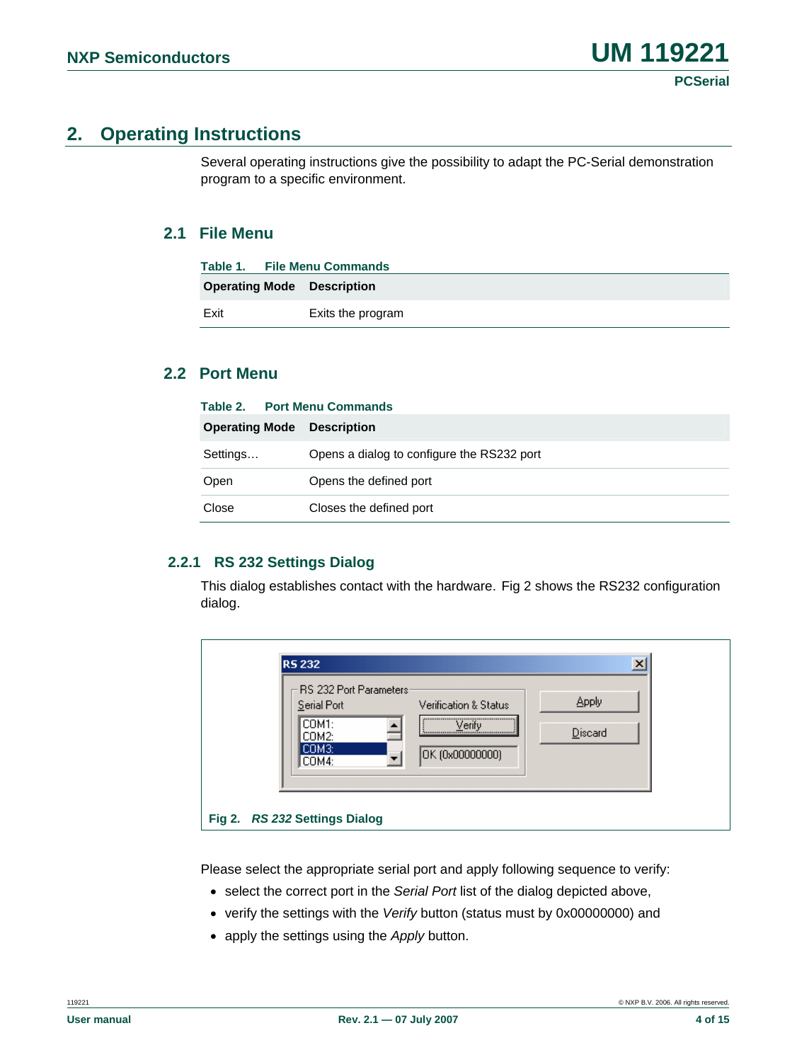## **2. Operating Instructions**

Several operating instructions give the possibility to adapt the PC-Serial demonstration program to a specific environment.

## **2.1 File Menu**

| Table 1. File Menu Commands       |                   |
|-----------------------------------|-------------------|
| <b>Operating Mode Description</b> |                   |
| Exit                              | Exits the program |

## **2.2 Port Menu**

|                       | Table 2. Port Menu Commands                |  |  |
|-----------------------|--------------------------------------------|--|--|
| <b>Operating Mode</b> | <b>Description</b>                         |  |  |
| Settings              | Opens a dialog to configure the RS232 port |  |  |
| Open                  | Opens the defined port                     |  |  |
| Close                 | Closes the defined port                    |  |  |

#### **2.2.1 RS 232 Settings Dialog**

This dialog establishes contact with the hardware. [Fig 2](#page-3-0) shows the RS232 configuration dialog.

| <b>RS 232</b>                  | $\vert x \vert$       |
|--------------------------------|-----------------------|
| <b>RS 232 Port Parameters:</b> | <b>Apply</b>          |
| Serial Port                    | Verification & Status |
| COM1:                          | Verify                |
| COM2:                          | Discard               |
| СОМЗ:                          |                       |
| COM4:                          | OK (0x00000000)       |
| Fig 2. RS 232 Settings Dialog  |                       |

<span id="page-3-0"></span>Please select the appropriate serial port and apply following sequence to verify:

- select the correct port in the *Serial Port* list of the dialog depicted above,
- verify the settings with the *Verify* button (status must by 0x00000000) and
- apply the settings using the *Apply* button.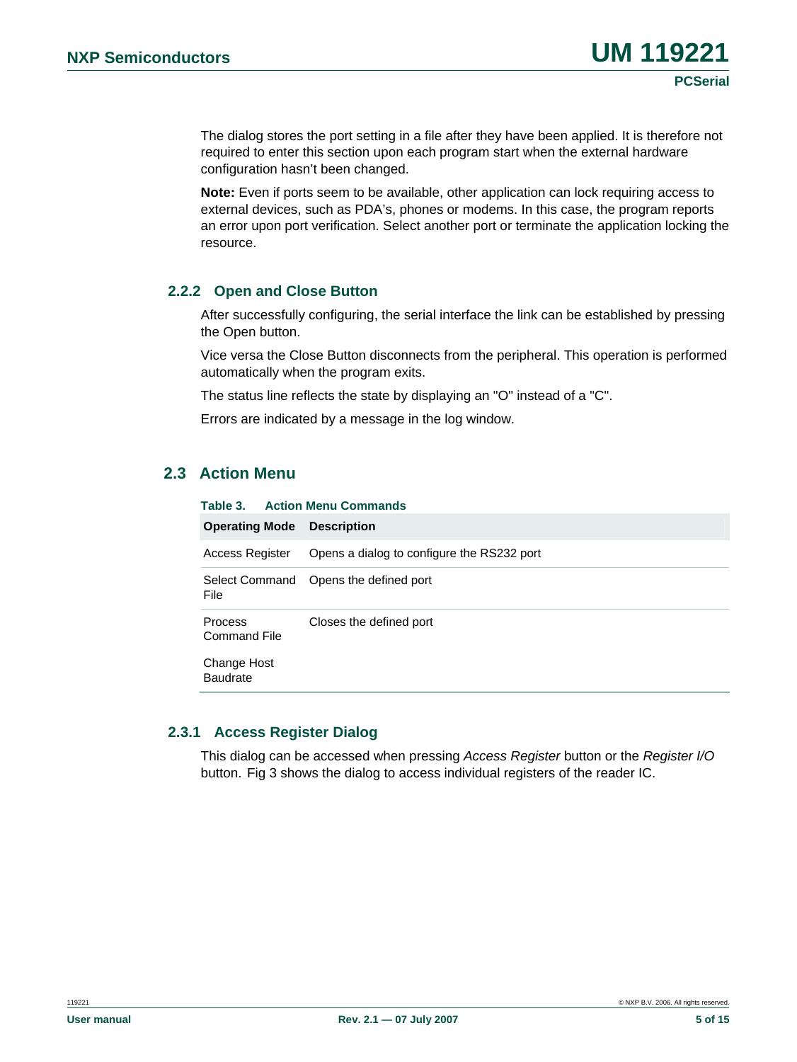The dialog stores the port setting in a file after they have been applied. It is therefore not required to enter this section upon each program start when the external hardware configuration hasn't been changed.

**Note:** Even if ports seem to be available, other application can lock requiring access to external devices, such as PDA's, phones or modems. In this case, the program reports an error upon port verification. Select another port or terminate the application locking the resource.

#### **2.2.2 Open and Close Button**

After successfully configuring, the serial interface the link can be established by pressing the Open button.

Vice versa the Close Button disconnects from the peripheral. This operation is performed automatically when the program exits.

The status line reflects the state by displaying an "O" instead of a "C".

Errors are indicated by a message in the log window.

## **2.3 Action Menu**

| Table 3.                       | <b>Action Menu Commands</b>                |  |  |  |  |
|--------------------------------|--------------------------------------------|--|--|--|--|
| <b>Operating Mode</b>          | <b>Description</b>                         |  |  |  |  |
| Access Register                | Opens a dialog to configure the RS232 port |  |  |  |  |
| File                           | Select Command Opens the defined port      |  |  |  |  |
| <b>Process</b><br>Command File | Closes the defined port                    |  |  |  |  |
| Change Host<br><b>Baudrate</b> |                                            |  |  |  |  |
|                                |                                            |  |  |  |  |

#### **2.3.1 Access Register Dialog**

This dialog can be accessed when pressing *Access Register* button or the *Register I/O* button. [Fig 3](#page-5-0) shows the dialog to access individual registers of the reader IC.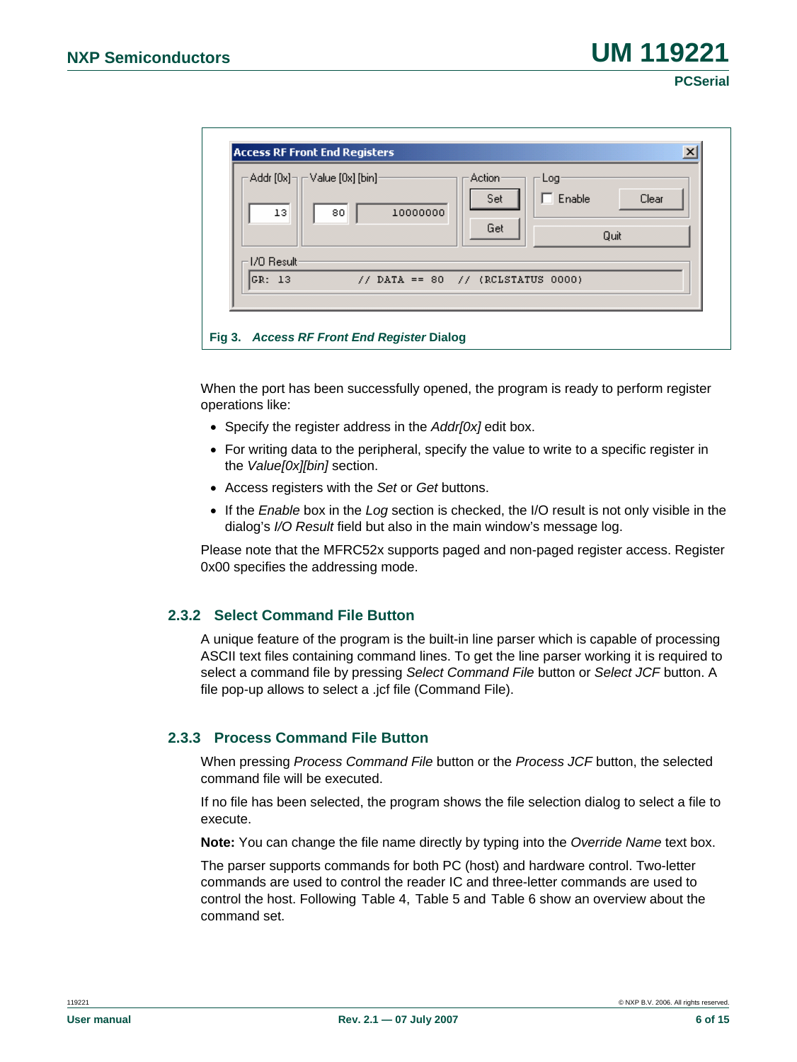**PCSerial**

| 13<br>1/0 Result | $\text{-}$ Addr [0x] $\text{-}$ $\text{-}$ Value [0x] [bin] $\text{-}$<br>80 | 10000000                          | Action<br>Set<br>Get | Log<br>Enable | Clear<br>Quit |
|------------------|------------------------------------------------------------------------------|-----------------------------------|----------------------|---------------|---------------|
| GR: 13           |                                                                              | // DATA == 80 // (RCLSTATUS 0000) |                      |               |               |

<span id="page-5-0"></span>When the port has been successfully opened, the program is ready to perform register operations like:

- Specify the register address in the *Addr[0x]* edit box.
- For writing data to the peripheral, specify the value to write to a specific register in the *Value[0x][bin]* section.
- Access registers with the *Set* or *Get* buttons.
- If the *Enable* box in the *Log* section is checked, the I/O result is not only visible in the dialog's *I/O Result* field but also in the main window's message log.

Please note that the MFRC52x supports paged and non-paged register access. Register 0x00 specifies the addressing mode.

## **2.3.2 Select Command File Button**

A unique feature of the program is the built-in line parser which is capable of processing ASCII text files containing command lines. To get the line parser working it is required to select a command file by pressing *Select Command File* button or *Select JCF* button. A file pop-up allows to select a .jcf file (Command File).

## **2.3.3 Process Command File Button**

When pressing *Process Command File* button or the *Process JCF* button, the selected command file will be executed.

If no file has been selected, the program shows the file selection dialog to select a file to execute.

**Note:** You can change the file name directly by typing into the *Override Name* text box.

The parser supports commands for both PC (host) and hardware control. Two-letter commands are used to control the reader IC and three-letter commands are used to control the host. Following [Table 4,](#page-6-0) [Table 5](#page-6-1) and [Table 6](#page-7-0) show an overview about the command set.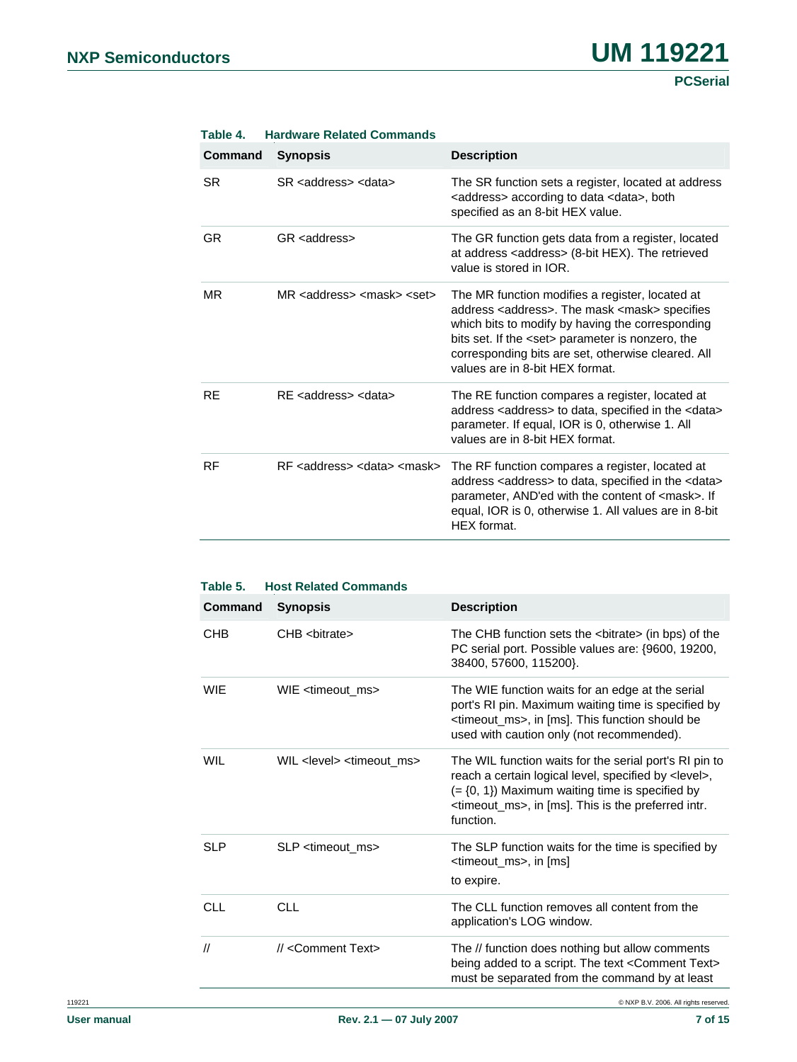<span id="page-6-0"></span>

| <b>Command</b> | <b>Synopsis</b>                                    | <b>Description</b>                                                                                                                                                                                                                                                                                                          |
|----------------|----------------------------------------------------|-----------------------------------------------------------------------------------------------------------------------------------------------------------------------------------------------------------------------------------------------------------------------------------------------------------------------------|
| SR.            | SR <address> <data></data></address>               | The SR function sets a register, located at address<br><address> according to data <data>, both<br/>specified as an 8-bit HEX value.</data></address>                                                                                                                                                                       |
| <b>GR</b>      | GR <address></address>                             | The GR function gets data from a register, located<br>at address <address> (8-bit HEX). The retrieved<br/>value is stored in IOR.</address>                                                                                                                                                                                 |
| MR.            | MR <address> <mask> <set></set></mask></address>   | The MR function modifies a register, located at<br>address <address>. The mask <mask> specifies<br/>which bits to modify by having the corresponding<br/>bits set. If the <set> parameter is nonzero, the<br/>corresponding bits are set, otherwise cleared. All<br/>values are in 8-bit HEX format.</set></mask></address> |
| <b>RE</b>      | RE <address> <data></data></address>               | The RE function compares a register, located at<br>address <address> to data, specified in the <data><br/>parameter. If equal, IOR is 0, otherwise 1. All<br/>values are in 8-bit HEX format.</data></address>                                                                                                              |
| RF             | RF <address> <data> <mask></mask></data></address> | The RF function compares a register, located at<br>address <address> to data, specified in the <data><br/>parameter, AND'ed with the content of <mask>. If<br/>equal, IOR is 0, otherwise 1. All values are in 8-bit<br/>HEX format.</mask></data></address>                                                                |

#### **Table 4. Hardware Related Commands**

<span id="page-6-1"></span>

| <b>Command</b>    | <b>Synopsis</b>                               | <b>Description</b>                                                                                                                                                                                                                                                         |
|-------------------|-----------------------------------------------|----------------------------------------------------------------------------------------------------------------------------------------------------------------------------------------------------------------------------------------------------------------------------|
| CHB               | CHB <bitrate></bitrate>                       | The CHB function sets the <bitrate> (in bps) of the<br/>PC serial port. Possible values are: {9600, 19200,<br/>38400, 57600, 115200).</bitrate>                                                                                                                            |
| <b>WIE</b>        | WIE <timeout ms=""></timeout>                 | The WIE function waits for an edge at the serial<br>port's RI pin. Maximum waiting time is specified by<br><timeout_ms>, in [ms]. This function should be<br/>used with caution only (not recommended).</timeout_ms>                                                       |
| <b>WIL</b>        | WIL <level> <timeout ms=""></timeout></level> | The WIL function waits for the serial port's RI pin to<br>reach a certain logical level, specified by <level>,<br/><math>(=\{0, 1\})</math> Maximum waiting time is specified by<br/><timeout_ms>, in [ms]. This is the preferred intr.<br/>function.</timeout_ms></level> |
| <b>SLP</b>        | SLP <timeout ms=""></timeout>                 | The SLP function waits for the time is specified by<br><timeout_ms>, in [ms]<br/>to expire.</timeout_ms>                                                                                                                                                                   |
| <b>CLL</b>        | <b>CLL</b>                                    | The CLL function removes all content from the<br>application's LOG window.                                                                                                                                                                                                 |
| $^{\prime\prime}$ | // <comment text=""></comment>                | The // function does nothing but allow comments<br>being added to a script. The text < Comment Text><br>must be separated from the command by at least                                                                                                                     |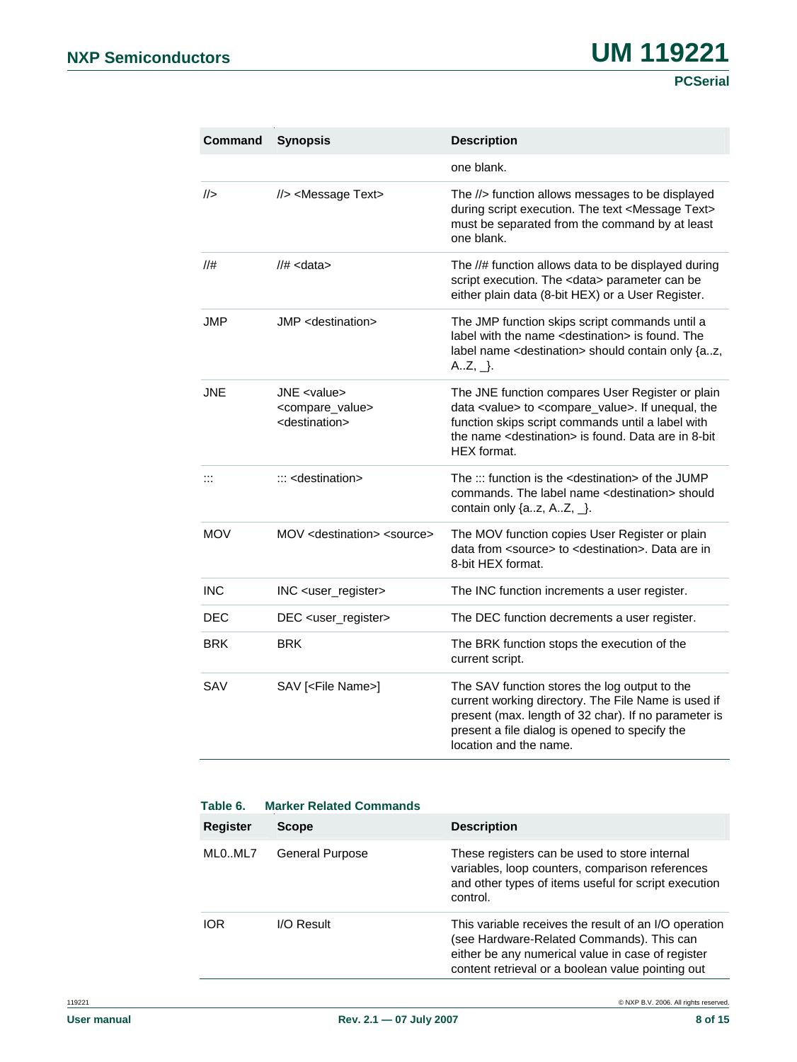| Command        | <b>Synopsis</b>                                                                         | <b>Description</b>                                                                                                                                                                                                                                                      |
|----------------|-----------------------------------------------------------------------------------------|-------------------------------------------------------------------------------------------------------------------------------------------------------------------------------------------------------------------------------------------------------------------------|
|                |                                                                                         | one blank.                                                                                                                                                                                                                                                              |
|                | //> <message text=""></message>                                                         | The //> function allows messages to be displayed<br>during script execution. The text <message text=""><br/>must be separated from the command by at least<br/>one blank.</message>                                                                                     |
| //#            | $1/#$ < data >                                                                          | The //# function allows data to be displayed during<br>script execution. The <data> parameter can be<br/>either plain data (8-bit HEX) or a User Register.</data>                                                                                                       |
| JMP            | JMP <destination></destination>                                                         | The JMP function skips script commands until a<br>label with the name <destination> is found. The<br/>label name <destination> should contain only {az,<br/><math>A.Z, _</math>.</destination></destination>                                                            |
| <b>JNE</b>     | JNE <value><br/><compare_value><br/><destination></destination></compare_value></value> | The JNE function compares User Register or plain<br>data <value> to <compare_value>. If unequal, the<br/>function skips script commands until a label with<br/>the name <destination> is found. Data are in 8-bit<br/>HEX format.</destination></compare_value></value> |
| $\mathbb{R}^2$ | $\ldots$ <destination></destination>                                                    | The $::$ function is the $\le$ destination $>$ of the JUMP<br>commands. The label name <destination> should<br/>contain only <math>\{az, AZ, \_\}.</math></destination>                                                                                                 |
| <b>MOV</b>     | MOV <destination> <source/></destination>                                               | The MOV function copies User Register or plain<br>data from <source/> to <destination>. Data are in<br/>8-bit HEX format.</destination>                                                                                                                                 |
| <b>INC</b>     | INC <user_register></user_register>                                                     | The INC function increments a user register.                                                                                                                                                                                                                            |
| DEC            | DEC <user_register></user_register>                                                     | The DEC function decrements a user register.                                                                                                                                                                                                                            |
| <b>BRK</b>     | <b>BRK</b>                                                                              | The BRK function stops the execution of the<br>current script.                                                                                                                                                                                                          |
| SAV            | SAV [ <file name="">]</file>                                                            | The SAV function stores the log output to the<br>current working directory. The File Name is used if<br>present (max. length of 32 char). If no parameter is<br>present a file dialog is opened to specify the<br>location and the name.                                |

<span id="page-7-0"></span>

| Table 6.   | <b>Marker Related Commands</b> |                                                                                                                                                                                                              |  |  |
|------------|--------------------------------|--------------------------------------------------------------------------------------------------------------------------------------------------------------------------------------------------------------|--|--|
| Register   | <b>Scope</b>                   | <b>Description</b>                                                                                                                                                                                           |  |  |
| MLOML7     | <b>General Purpose</b>         | These registers can be used to store internal<br>variables, loop counters, comparison references<br>and other types of items useful for script execution<br>control.                                         |  |  |
| <b>IOR</b> | $I/O$ Result                   | This variable receives the result of an I/O operation<br>(see Hardware-Related Commands). This can<br>either be any numerical value in case of register<br>content retrieval or a boolean value pointing out |  |  |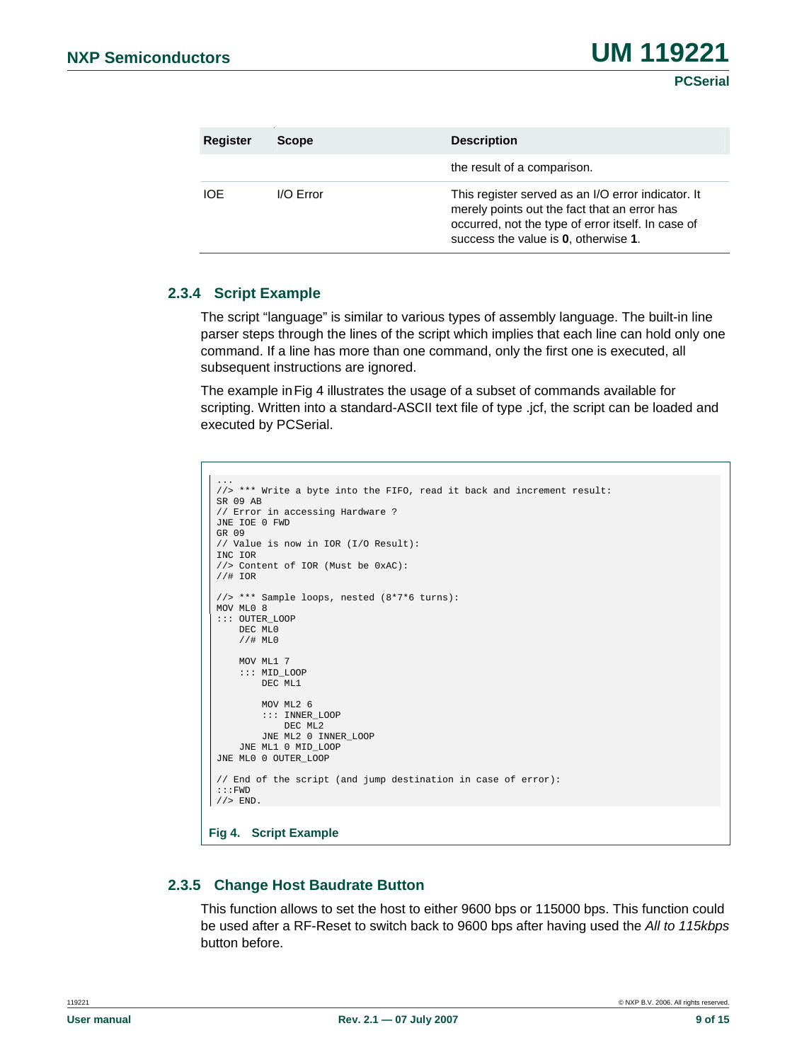| Register | <b>Scope</b> | <b>Description</b>                                                                                                                                                                               |
|----------|--------------|--------------------------------------------------------------------------------------------------------------------------------------------------------------------------------------------------|
|          |              | the result of a comparison.                                                                                                                                                                      |
| IOE      | $I/O$ Error  | This register served as an I/O error indicator. It<br>merely points out the fact that an error has<br>occurred, not the type of error itself. In case of<br>success the value is 0, otherwise 1. |

#### **2.3.4 Script Example**

The script "language" is similar to various types of assembly language. The built-in line parser steps through the lines of the script which implies that each line can hold only one command. If a line has more than one command, only the first one is executed, all subsequent instructions are ignored.

The example in[Fig 4](#page-8-0) illustrates the usage of a subset of commands available for scripting. Written into a standard-ASCII text file of type .jcf, the script can be loaded and executed by PCSerial.

```
... 
//> *** Write a byte into the FIFO, read it back and increment result: 
 SR 09 AB 
 // Error in accessing Hardware ? 
 JNE IOE 0 FWD 
 GR 09 
 // Value is now in IOR (I/O Result): 
 INC IOR 
 //> Content of IOR (Must be 0xAC): 
 //# IOR 
 //> *** Sample loops, nested (8*7*6 turns): 
 MOV ML0 8 
 ::: OUTER_LOOP 
      DEC ML0 
      //# ML0 
      MOV ML1 7 
      ::: MID_LOOP 
          DEC ML1 
           MOV ML2 6 
          ::: INNER_LOOP 
              DEC ML<sub>2</sub>
          JNE ML2 0 INNER_LOOP 
      JNE ML1 0 MID_LOOP 
 JNE ML0 0 OUTER LOOP
 // End of the script (and jump destination in case of error): 
 :::FWD 
//> END.
Fig 4. Script Example
```
#### <span id="page-8-0"></span>**2.3.5 Change Host Baudrate Button**

This function allows to set the host to either 9600 bps or 115000 bps. This function could be used after a RF-Reset to switch back to 9600 bps after having used the *All to 115kbps*  button before.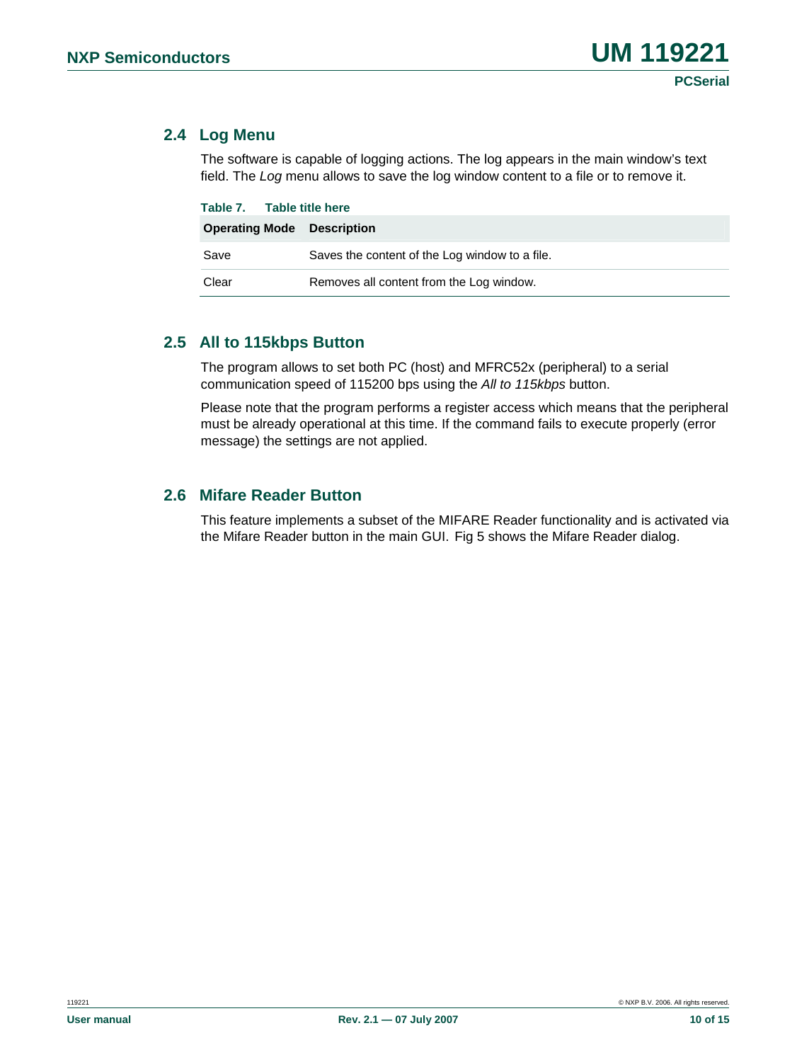## **2.4 Log Menu**

The software is capable of logging actions. The log appears in the main window's text field. The *Log* menu allows to save the log window content to a file or to remove it.

| Table 7. Table title here         |                                                |  |  |
|-----------------------------------|------------------------------------------------|--|--|
| <b>Operating Mode</b> Description |                                                |  |  |
| Save                              | Saves the content of the Log window to a file. |  |  |
| Clear                             | Removes all content from the Log window.       |  |  |

## **2.5 All to 115kbps Button**

The program allows to set both PC (host) and MFRC52x (peripheral) to a serial communication speed of 115200 bps using the *All to 115kbps* button.

Please note that the program performs a register access which means that the peripheral must be already operational at this time. If the command fails to execute properly (error message) the settings are not applied.

## **2.6 Mifare Reader Button**

This feature implements a subset of the MIFARE Reader functionality and is activated via the Mifare Reader button in the main GUI. [Fig 5](#page-10-1) shows the Mifare Reader dialog.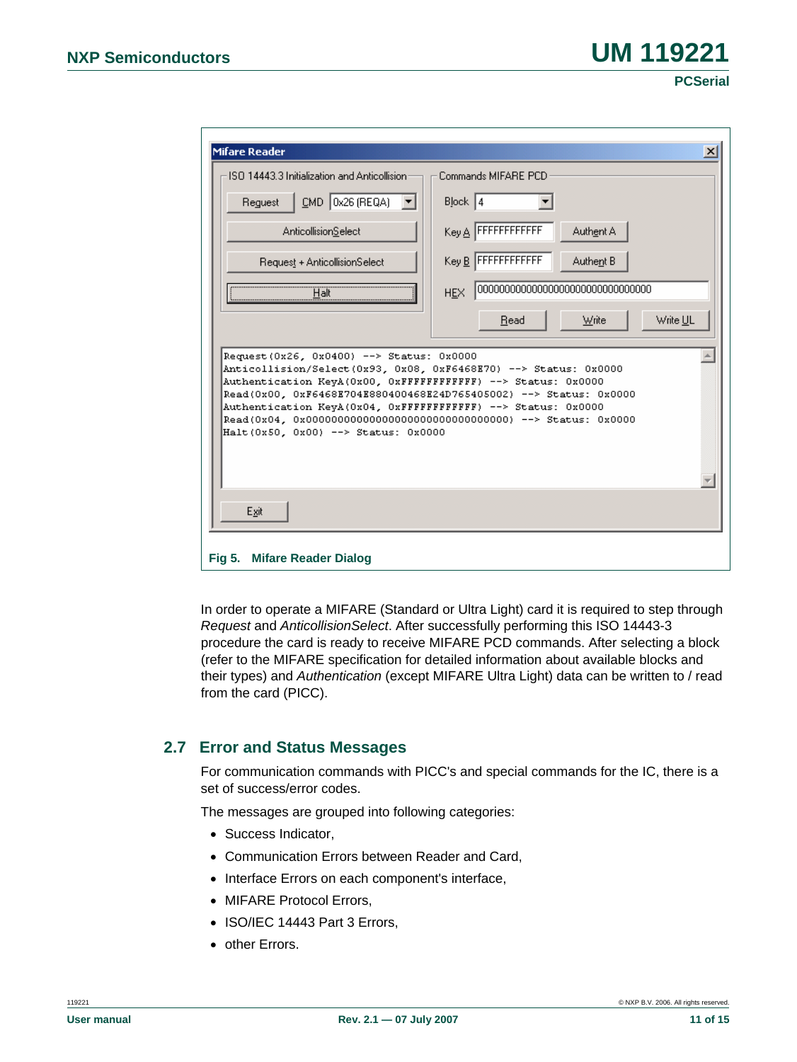| <b>Mifare Reader</b>                                                                                                                                                                                                                                                                                                                                       | $\vert x \vert$                 |  |  |  |  |
|------------------------------------------------------------------------------------------------------------------------------------------------------------------------------------------------------------------------------------------------------------------------------------------------------------------------------------------------------------|---------------------------------|--|--|--|--|
| ISO 14443.3 Initialization and Anticollision                                                                                                                                                                                                                                                                                                               | Commands MIFARE PCD             |  |  |  |  |
| CMD 0x26 (REQA)<br>Request                                                                                                                                                                                                                                                                                                                                 | $Block$   4                     |  |  |  |  |
| <b>AnticollisionSelect</b>                                                                                                                                                                                                                                                                                                                                 | Key A FFFFFFFFFFFF<br>Authent A |  |  |  |  |
| Request + AnticollisionSelect                                                                                                                                                                                                                                                                                                                              | Key B FFFFFFFFFFFF<br>Authent B |  |  |  |  |
| Halt                                                                                                                                                                                                                                                                                                                                                       | <b>HEX</b>                      |  |  |  |  |
|                                                                                                                                                                                                                                                                                                                                                            | Write UL<br>Read<br>Write       |  |  |  |  |
| Request (0x26, 0x0400) --> Status: 0x0000<br>Anticollision/Select(0x93, 0x08, 0xF6468E70) --> Status: 0x0000<br>Authentication KeyA(0x00, 0xFFFFFFFFFFFFF) --> Status: 0x0000<br>Read(0x00, 0xF6468E704E880400468E24D765405002) --> Status: 0x0000<br>Authentication KeyA(0x04, 0xFFFFFFFFFFFFF) --> Status: 0x0000<br>Halt(0x50, 0x00) --> Status: 0x0000 |                                 |  |  |  |  |
| Exit                                                                                                                                                                                                                                                                                                                                                       |                                 |  |  |  |  |
| Fig 5. Mifare Reader Dialog                                                                                                                                                                                                                                                                                                                                |                                 |  |  |  |  |

<span id="page-10-1"></span>In order to operate a MIFARE (Standard or Ultra Light) card it is required to step through *Request* and *AnticollisionSelect*. After successfully performing this ISO 14443-3 procedure the card is ready to receive MIFARE PCD commands. After selecting a block (refer to the MIFARE specification for detailed information about available blocks and their types) and *Authentication* (except MIFARE Ultra Light) data can be written to / read from the card (PICC).

## <span id="page-10-0"></span>**2.7 Error and Status Messages**

For communication commands with PICC's and special commands for the IC, there is a set of success/error codes.

The messages are grouped into following categories:

- Success Indicator,
- Communication Errors between Reader and Card,
- Interface Errors on each component's interface,
- MIFARE Protocol Errors,
- ISO/IEC 14443 Part 3 Errors,
- other Errors.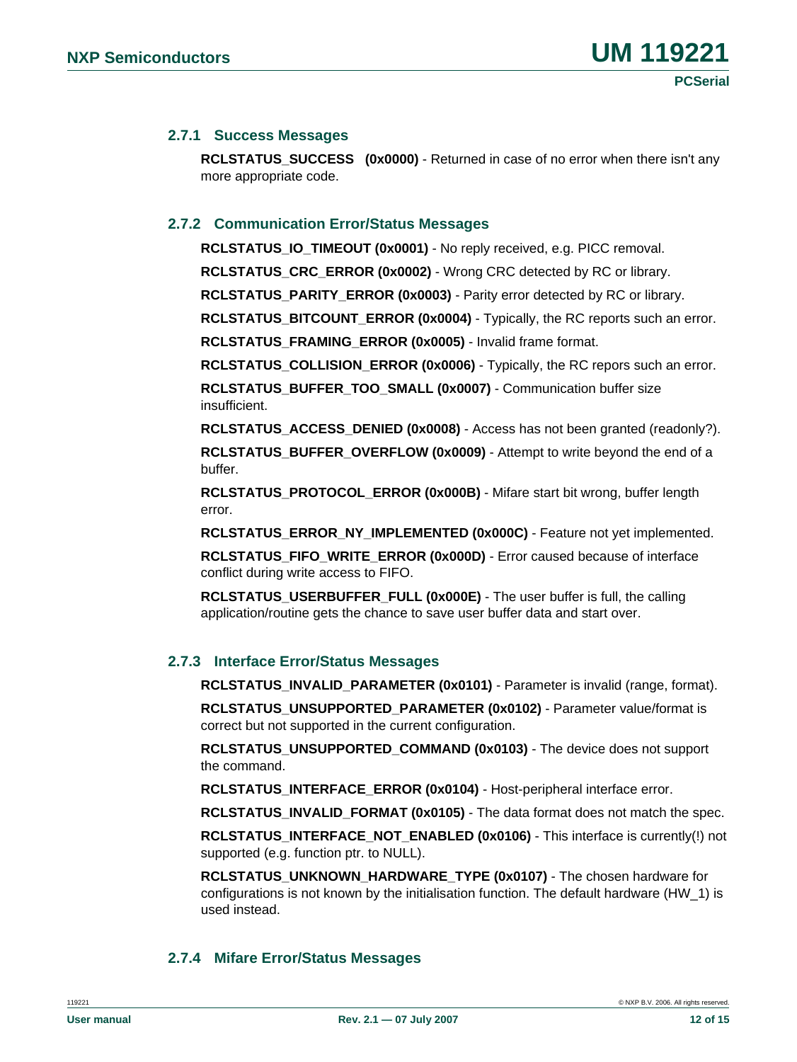#### **2.7.1 Success Messages**

**RCLSTATUS SUCCESS (0x0000)** - Returned in case of no error when there isn't any more appropriate code.

#### **2.7.2 Communication Error/Status Messages**

**RCLSTATUS\_IO\_TIMEOUT (0x0001)** - No reply received, e.g. PICC removal.

**RCLSTATUS\_CRC\_ERROR (0x0002)** - Wrong CRC detected by RC or library.

**RCLSTATUS\_PARITY\_ERROR (0x0003)** - Parity error detected by RC or library.

**RCLSTATUS\_BITCOUNT\_ERROR (0x0004)** - Typically, the RC reports such an error.

**RCLSTATUS\_FRAMING\_ERROR (0x0005)** - Invalid frame format.

**RCLSTATUS\_COLLISION\_ERROR (0x0006)** - Typically, the RC repors such an error.

**RCLSTATUS\_BUFFER\_TOO\_SMALL (0x0007)** - Communication buffer size insufficient.

**RCLSTATUS ACCESS DENIED (0x0008)** - Access has not been granted (readonly?).

**RCLSTATUS\_BUFFER\_OVERFLOW (0x0009)** - Attempt to write beyond the end of a buffer.

**RCLSTATUS\_PROTOCOL\_ERROR (0x000B)** - Mifare start bit wrong, buffer length error.

**RCLSTATUS\_ERROR\_NY\_IMPLEMENTED (0x000C)** - Feature not yet implemented.

**RCLSTATUS\_FIFO\_WRITE\_ERROR (0x000D)** - Error caused because of interface conflict during write access to FIFO.

**RCLSTATUS\_USERBUFFER\_FULL (0x000E)** - The user buffer is full, the calling application/routine gets the chance to save user buffer data and start over.

#### **2.7.3 Interface Error/Status Messages**

**RCLSTATUS INVALID PARAMETER (0x0101)** - Parameter is invalid (range, format).

**RCLSTATUS\_UNSUPPORTED\_PARAMETER (0x0102)** - Parameter value/format is correct but not supported in the current configuration.

**RCLSTATUS\_UNSUPPORTED\_COMMAND (0x0103)** - The device does not support the command.

**RCLSTATUS\_INTERFACE\_ERROR (0x0104)** - Host-peripheral interface error.

**RCLSTATUS\_INVALID\_FORMAT (0x0105)** - The data format does not match the spec.

**RCLSTATUS\_INTERFACE\_NOT\_ENABLED (0x0106)** - This interface is currently(!) not supported (e.g. function ptr. to NULL).

**RCLSTATUS\_UNKNOWN\_HARDWARE\_TYPE (0x0107)** - The chosen hardware for configurations is not known by the initialisation function. The default hardware (HW\_1) is used instead.

#### **2.7.4 Mifare Error/Status Messages**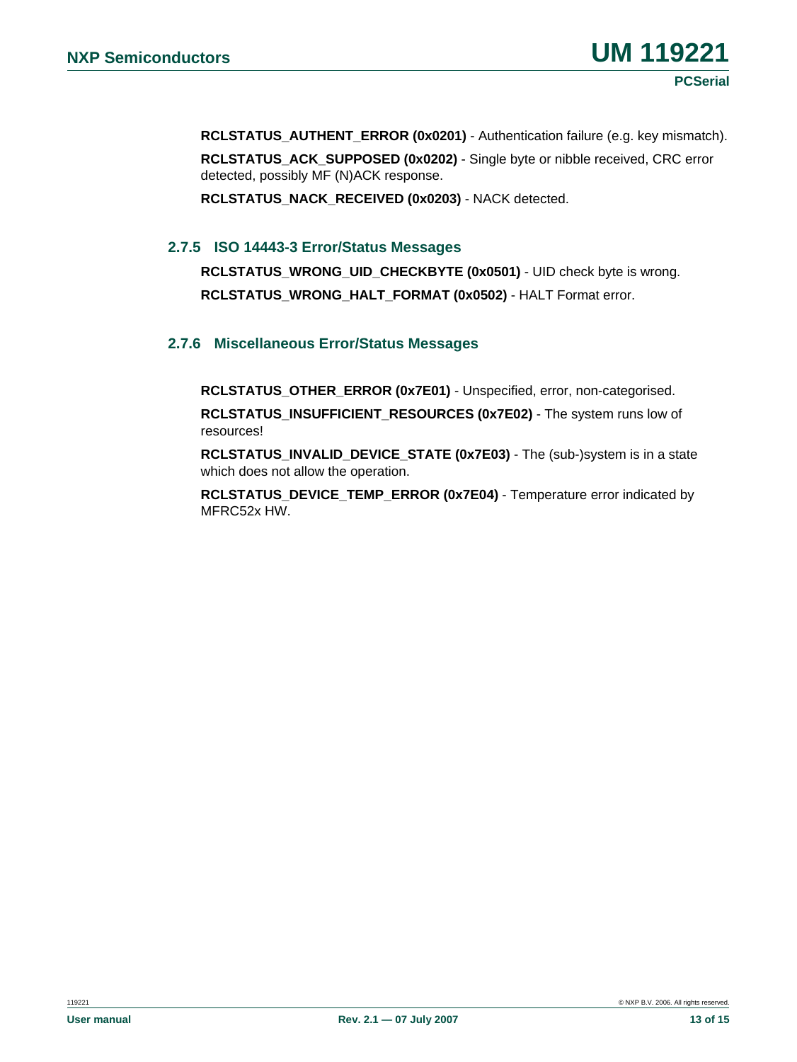**RCLSTATUS\_AUTHENT\_ERROR (0x0201)** - Authentication failure (e.g. key mismatch). **RCLSTATUS\_ACK\_SUPPOSED (0x0202)** - Single byte or nibble received, CRC error detected, possibly MF (N)ACK response.

**RCLSTATUS\_NACK\_RECEIVED (0x0203)** - NACK detected.

#### **2.7.5 ISO 14443-3 Error/Status Messages**

RCLSTATUS WRONG UID CHECKBYTE (0x0501) - UID check byte is wrong. **RCLSTATUS\_WRONG\_HALT\_FORMAT (0x0502)** - HALT Format error.

#### **2.7.6 Miscellaneous Error/Status Messages**

**RCLSTATUS\_OTHER\_ERROR (0x7E01)** - Unspecified, error, non-categorised.

**RCLSTATUS\_INSUFFICIENT\_RESOURCES (0x7E02)** - The system runs low of resources!

**RCLSTATUS\_INVALID\_DEVICE\_STATE (0x7E03)** - The (sub-)system is in a state which does not allow the operation.

**RCLSTATUS\_DEVICE\_TEMP\_ERROR (0x7E04)** - Temperature error indicated by MFRC52x HW.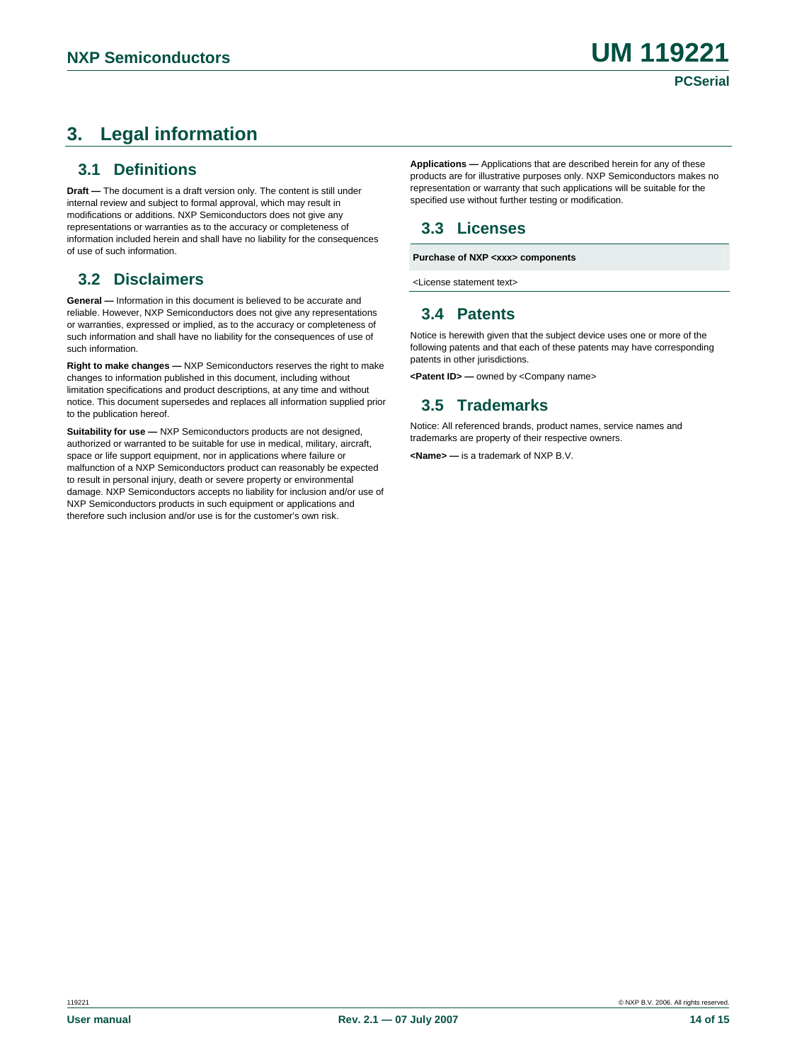# **3. Legal information**

## **3.1 Definitions**

**Draft —** The document is a draft version only. The content is still under internal review and subject to formal approval, which may result in modifications or additions. NXP Semiconductors does not give any representations or warranties as to the accuracy or completeness of information included herein and shall have no liability for the consequences of use of such information.

## **3.2 Disclaimers**  $\triangle$  **License statement text>**

**General —** Information in this document is believed to be accurate and reliable. However, NXP Semiconductors does not give any representations or warranties, expressed or implied, as to the accuracy or completeness of such information and shall have no liability for the consequences of use of such information.

Right to make changes — NXP Semiconductors reserves the right to make changes to information published in this document, including without limitation specifications and product descriptions, at any time and without notice. This document supersedes and replaces all information supplied prior to the publication hereof.

**Suitability for use** — NXP Semiconductors products are not designed,<br>
surberized are uncreased to be quitable for use in modical military circord strademarks are property of their respective owners. authorized or warranted to be suitable for use in medical, military, aircraft, space or life support equipment, nor in applications where failure or malfunction of a NXP Semiconductors product can reasonably be expected to result in personal injury, death or severe property or environmental damage. NXP Semiconductors accepts no liability for inclusion and/or use of NXP Semiconductors products in such equipment or applications and therefore such inclusion and/or use is for the customer's own risk.

**Applications —** Applications that are described herein for any of these products are for illustrative purposes only. NXP Semiconductors makes no representation or warranty that such applications will be suitable for the specified use without further testing or modification.

## **3.3 Licenses**

**Purchase of NXP <xxx> components** 

## **3.4 Patents**

Notice is herewith given that the subject device uses one or more of the following patents and that each of these patents may have corresponding<br>patents in other iurisdictions.

**<Patent ID> —** owned by <Company name>

## **3.5 Trademarks**

Notice: All referenced brands, product names, service names and

**<Name> —** is a trademark of NXP B.V.